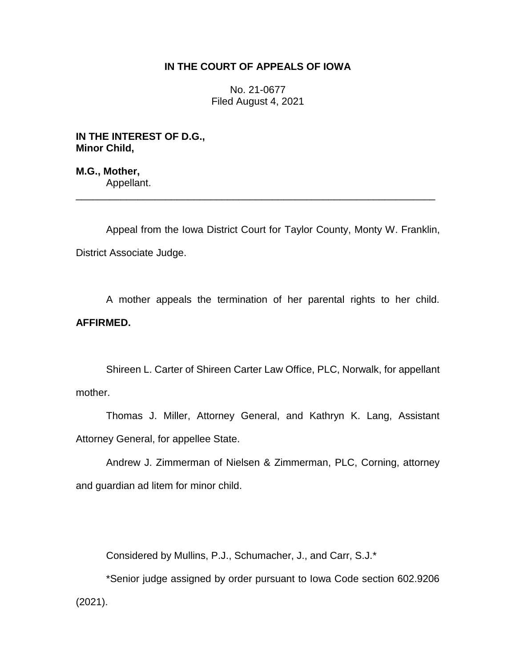## **IN THE COURT OF APPEALS OF IOWA**

No. 21-0677 Filed August 4, 2021

**IN THE INTEREST OF D.G., Minor Child,**

**M.G., Mother,** Appellant.

Appeal from the Iowa District Court for Taylor County, Monty W. Franklin, District Associate Judge.

\_\_\_\_\_\_\_\_\_\_\_\_\_\_\_\_\_\_\_\_\_\_\_\_\_\_\_\_\_\_\_\_\_\_\_\_\_\_\_\_\_\_\_\_\_\_\_\_\_\_\_\_\_\_\_\_\_\_\_\_\_\_\_\_

A mother appeals the termination of her parental rights to her child. **AFFIRMED.**

Shireen L. Carter of Shireen Carter Law Office, PLC, Norwalk, for appellant mother.

Thomas J. Miller, Attorney General, and Kathryn K. Lang, Assistant Attorney General, for appellee State.

Andrew J. Zimmerman of Nielsen & Zimmerman, PLC, Corning, attorney and guardian ad litem for minor child.

Considered by Mullins, P.J., Schumacher, J., and Carr, S.J.\*

\*Senior judge assigned by order pursuant to Iowa Code section 602.9206 (2021).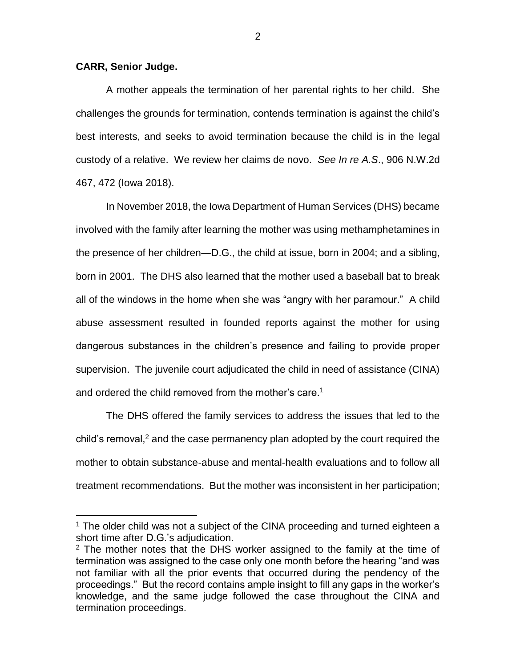## **CARR, Senior Judge.**

 $\overline{a}$ 

A mother appeals the termination of her parental rights to her child. She challenges the grounds for termination, contends termination is against the child's best interests, and seeks to avoid termination because the child is in the legal custody of a relative. We review her claims de novo. *See In re A.S*., 906 N.W.2d 467, 472 (Iowa 2018).

In November 2018, the Iowa Department of Human Services (DHS) became involved with the family after learning the mother was using methamphetamines in the presence of her children—D.G., the child at issue, born in 2004; and a sibling, born in 2001. The DHS also learned that the mother used a baseball bat to break all of the windows in the home when she was "angry with her paramour." A child abuse assessment resulted in founded reports against the mother for using dangerous substances in the children's presence and failing to provide proper supervision. The juvenile court adjudicated the child in need of assistance (CINA) and ordered the child removed from the mother's care.<sup>1</sup>

The DHS offered the family services to address the issues that led to the child's removal,<sup>2</sup> and the case permanency plan adopted by the court required the mother to obtain substance-abuse and mental-health evaluations and to follow all treatment recommendations. But the mother was inconsistent in her participation;

 $1$  The older child was not a subject of the CINA proceeding and turned eighteen a short time after D.G.'s adjudication.

<sup>&</sup>lt;sup>2</sup> The mother notes that the DHS worker assigned to the family at the time of termination was assigned to the case only one month before the hearing "and was not familiar with all the prior events that occurred during the pendency of the proceedings." But the record contains ample insight to fill any gaps in the worker's knowledge, and the same judge followed the case throughout the CINA and termination proceedings.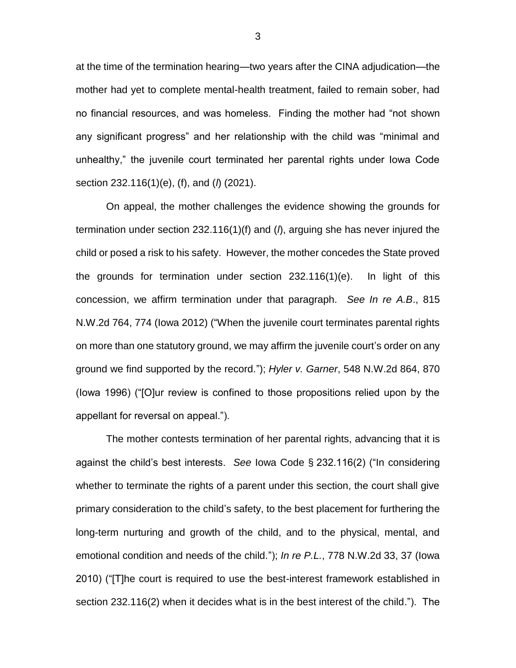at the time of the termination hearing—two years after the CINA adjudication—the mother had yet to complete mental-health treatment, failed to remain sober, had no financial resources, and was homeless. Finding the mother had "not shown any significant progress" and her relationship with the child was "minimal and unhealthy," the juvenile court terminated her parental rights under Iowa Code section 232.116(1)(e), (f), and (*l*) (2021).

On appeal, the mother challenges the evidence showing the grounds for termination under section 232.116(1)(f) and (*l*), arguing she has never injured the child or posed a risk to his safety. However, the mother concedes the State proved the grounds for termination under section 232.116(1)(e). In light of this concession, we affirm termination under that paragraph. *See In re A.B*., 815 N.W.2d 764, 774 (Iowa 2012) ("When the juvenile court terminates parental rights on more than one statutory ground, we may affirm the juvenile court's order on any ground we find supported by the record."); *Hyler v. Garner*, 548 N.W.2d 864, 870 (Iowa 1996) ("[O]ur review is confined to those propositions relied upon by the appellant for reversal on appeal.").

The mother contests termination of her parental rights, advancing that it is against the child's best interests. *See* Iowa Code § 232.116(2) ("In considering whether to terminate the rights of a parent under this section, the court shall give primary consideration to the child's safety, to the best placement for furthering the long-term nurturing and growth of the child, and to the physical, mental, and emotional condition and needs of the child."); *In re P.L.*, 778 N.W.2d 33, 37 (Iowa 2010) ("[T]he court is required to use the best-interest framework established in section 232.116(2) when it decides what is in the best interest of the child."). The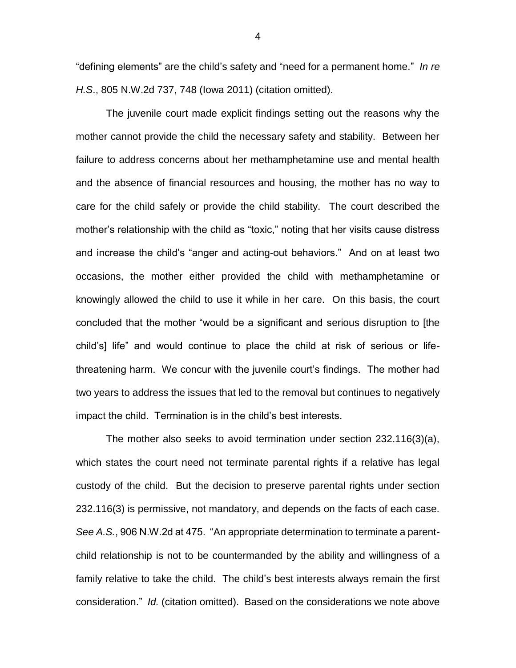"defining elements" are the child's safety and "need for a permanent home." *In re H.S*., 805 N.W.2d 737, 748 (Iowa 2011) (citation omitted).

The juvenile court made explicit findings setting out the reasons why the mother cannot provide the child the necessary safety and stability. Between her failure to address concerns about her methamphetamine use and mental health and the absence of financial resources and housing, the mother has no way to care for the child safely or provide the child stability. The court described the mother's relationship with the child as "toxic," noting that her visits cause distress and increase the child's "anger and acting-out behaviors." And on at least two occasions, the mother either provided the child with methamphetamine or knowingly allowed the child to use it while in her care. On this basis, the court concluded that the mother "would be a significant and serious disruption to [the child's] life" and would continue to place the child at risk of serious or lifethreatening harm. We concur with the juvenile court's findings. The mother had two years to address the issues that led to the removal but continues to negatively impact the child. Termination is in the child's best interests.

The mother also seeks to avoid termination under section 232.116(3)(a), which states the court need not terminate parental rights if a relative has legal custody of the child. But the decision to preserve parental rights under section 232.116(3) is permissive, not mandatory, and depends on the facts of each case. *See A.S.*, 906 N.W.2d at 475. "An appropriate determination to terminate a parentchild relationship is not to be countermanded by the ability and willingness of a family relative to take the child. The child's best interests always remain the first consideration." *Id.* (citation omitted). Based on the considerations we note above